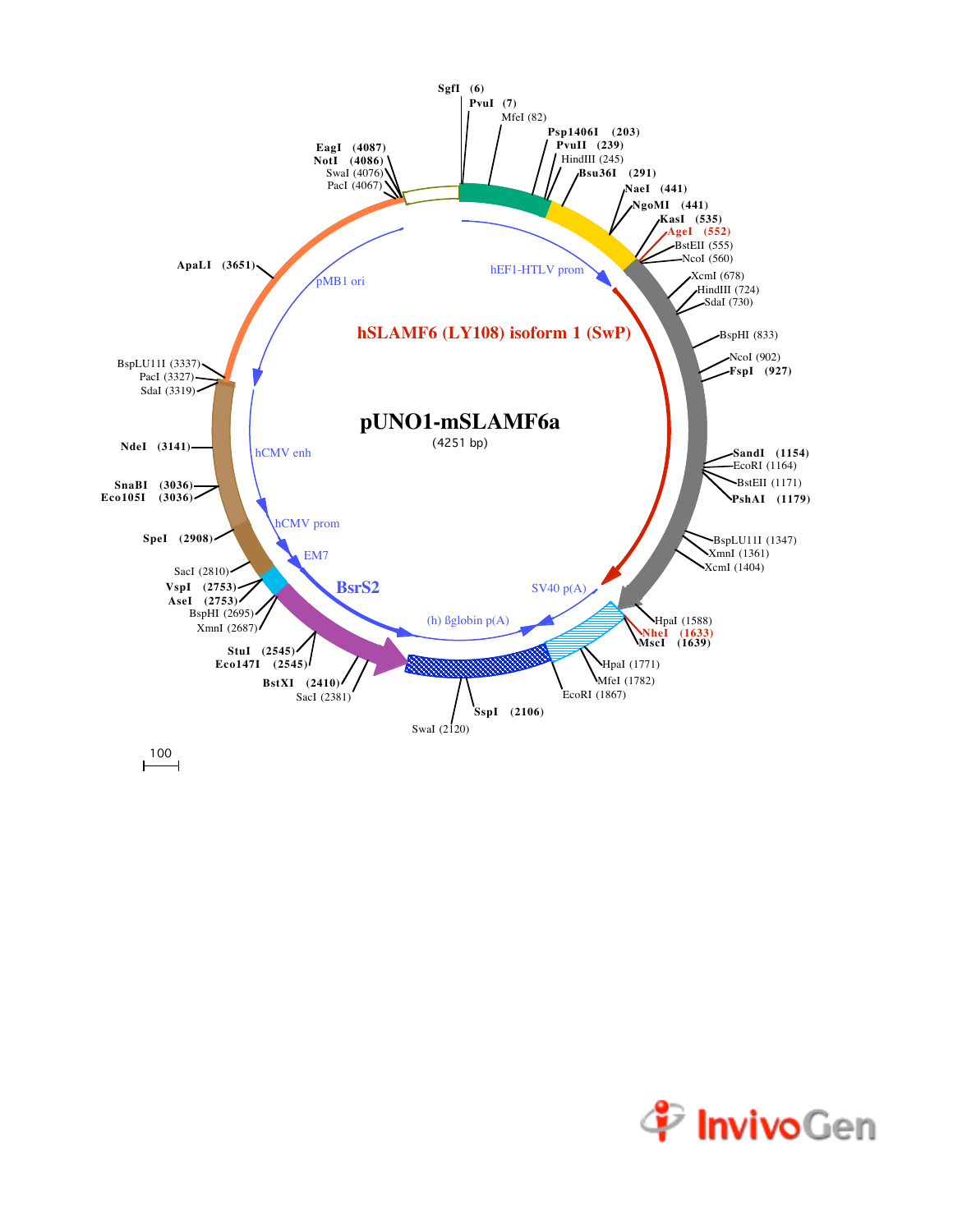

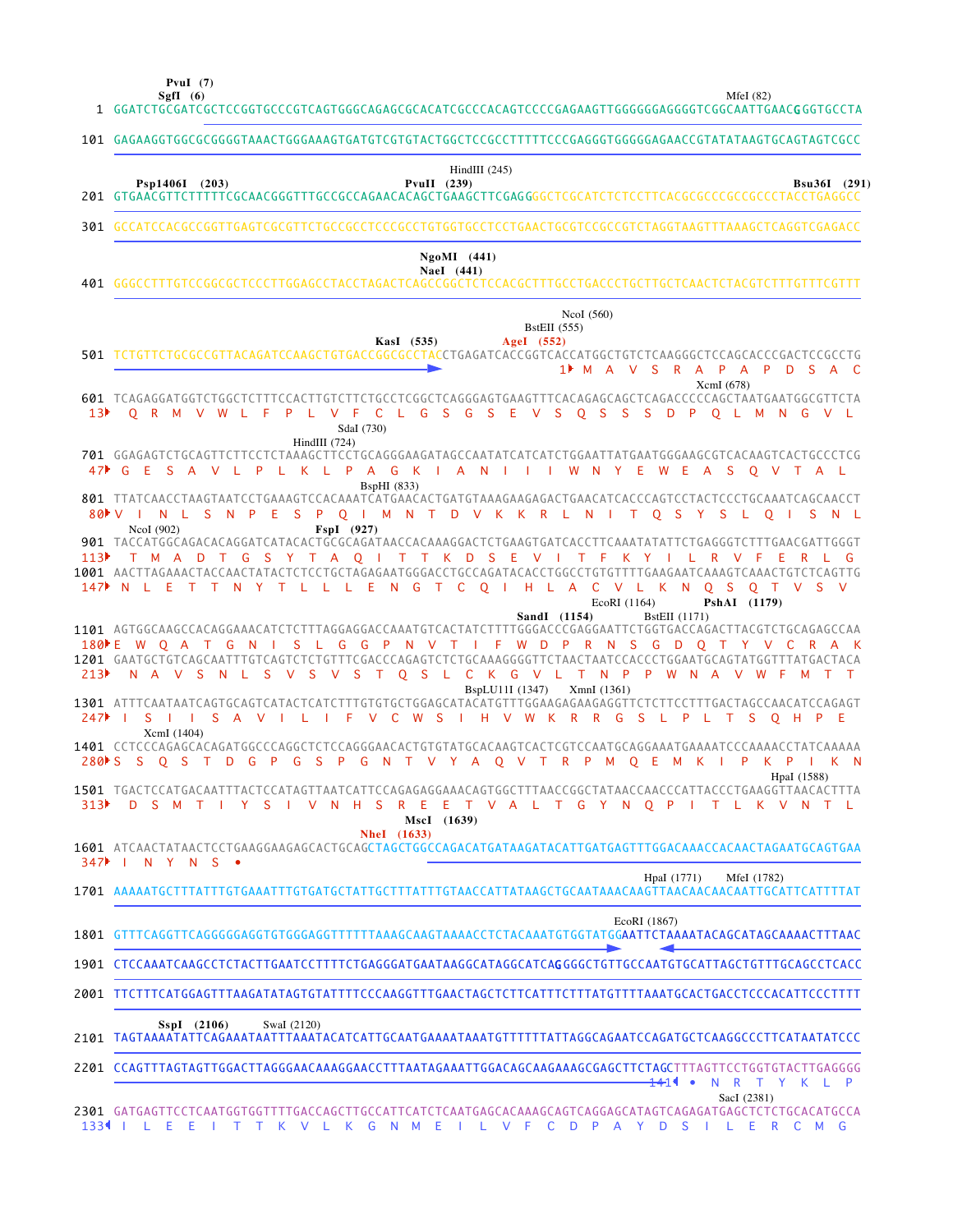**SgfI (6) PvuI (7)**

|                  | $\mathbf{r}$ vui $\mathbf{r}$<br>SgfI $(6)$                                                             |  | 1 GGATCTGCGATCGCTCCGGTGCCCGTCAGTGGGCAGAGCGCACATCGCCCACAGTCCCCGAGAAGTTGGGGGGAGGGGTCGGCAATTGAACGGGTGCCTA                                                                                                                                                                                                                                 |                    |                    |                                   |              |                      | MfeI $(82)$                         |              |  |  |
|------------------|---------------------------------------------------------------------------------------------------------|--|----------------------------------------------------------------------------------------------------------------------------------------------------------------------------------------------------------------------------------------------------------------------------------------------------------------------------------------|--------------------|--------------------|-----------------------------------|--------------|----------------------|-------------------------------------|--------------|--|--|
|                  | 101 GAGAAGGTGGCGCGGGGTAAACTGGGAAAGTGATGTCGTGTACTGGCTCCGCCTTTTTCCCGAGGGTGGGGAGAACCGTATATAAGTGCAGTAGTCGCC |  |                                                                                                                                                                                                                                                                                                                                        |                    |                    |                                   |              |                      |                                     |              |  |  |
|                  | Psp1406I (203)                                                                                          |  |                                                                                                                                                                                                                                                                                                                                        | PvuII $(239)$      | HindIII $(245)$    |                                   |              |                      |                                     | Bsu36I (291) |  |  |
|                  |                                                                                                         |  | 301 GCCATCCACGCCGGTTGAGTCGCGTTCTGCCGCCTCCCGCCTGTGGTGCCTCCTGAACTGCGTCCGCCGTCTAGGTAAGTTTAAAGCTCAGGTCGAGACC                                                                                                                                                                                                                               |                    |                    |                                   |              |                      |                                     |              |  |  |
|                  |                                                                                                         |  |                                                                                                                                                                                                                                                                                                                                        |                    | $NgoMI$ (441)      |                                   |              |                      |                                     |              |  |  |
|                  | NaeI (441)                                                                                              |  |                                                                                                                                                                                                                                                                                                                                        |                    |                    |                                   |              |                      |                                     |              |  |  |
|                  |                                                                                                         |  | 501 TCTGTTCTGCGCCGTTACAGATCCAAGCTGTGACCGGCGCCTACCTGAGATCACCGGTCACCATGGCTGTCTCAAGGGCTCCAGCACCCCGACTCCGCCTG                                                                                                                                                                                                                              | KasI (535)         |                    | <b>BstEII</b> (555)<br>AgeI (552) | NcoI (560)   |                      | 1 M A V S R A P A P D S A C         |              |  |  |
| 13 <sup>2</sup>  |                                                                                                         |  | O R M V W L F P L V F C L G S G S E V S O S S S D P O L M N G V L<br>SdaI (730)                                                                                                                                                                                                                                                        |                    |                    |                                   |              |                      | XcmI (678)                          |              |  |  |
|                  |                                                                                                         |  | HindIII $(724)$<br>701 GGAGAGTCTGCAGTTCTTCCTCTAAAGCTTCCTGCAGGGAAGATAGCCAATATCATCATCTGGAATTATGAATGGGAAGCGTCACAAGTCACTGCCCTCG<br>47 GES A V L P L K L P A G K I A N I I I W N Y E W E A S O V T A L                                                                                                                                      | <b>BspHI</b> (833) |                    |                                   |              |                      |                                     |              |  |  |
|                  | 80 V I<br>NcoI (902)                                                                                    |  | 801 TTATCAACCTAAGTAATCCTGAAAGTCCACAAATCATGAACACTGATGTAAAGAAGAGACTGAACATCACCCAGTCCTACTCCCTGCAAATCAGCAACCT<br>N L S N P E S P O I M N T D V K K R L N I T O S Y S L O I S N L<br>$FspI$ (927)                                                                                                                                            |                    |                    |                                   |              |                      |                                     |              |  |  |
|                  |                                                                                                         |  | 901 TACCATGGCAGACACAGGATCATACACTGCGCAGATAACCACAAAGGACTCTGAAGTGATCACCTTCAAATATATTCTGAGGGTCTTTGAACGATTGGGT<br>113) TMADTGSYTA OITTKDSEVITFKYILRVFE<br>1001 AACTTAGAAACTACCAACTATACTCTCCTGCTAGAGAATGGGACCTGCCAGATACACCTGGCCTGTGTTTTGAAGAATCAAAGTCAAACTGTCTCAGTTG<br>147 N L E T T N Y T L L L E N G T C O I H L A C V L K N O S O T V S V |                    |                    |                                   | EcoRI (1164) |                      | PshAI (1179)                        | RLG          |  |  |
| 213              |                                                                                                         |  | 1101 AGTGGCAAGCCACAGGAAACATCTCTTTAGGAGGACCAAATGTCACTATCTTTTGGGACCCGAGGAATTCTGGTGACCAGACTTACGTCTGCAGAGCCAA<br>180 E W O A T G N I S L G G P N V T I F W D P R N S G D O T Y V C R A K<br>N A V S N L S V S V S T O S L C K G V L T N P P W N A V W F M T T                                                                              |                    |                    | SandI (1154)<br>BspLU11I (1347)   | XmnI(1361)   | <b>BstEII</b> (1171) |                                     |              |  |  |
|                  | $247$ ISII<br>XcmI (1404)                                                                               |  | 1301 ATTTCAATAATCAGTGCAGTCATACTCATCTTTGTGTGCTGGAGCATACATGTTTGGAAGAGAAGAGGTTCTCTTCCTTTGACTAGCCAACATCCAGAGT<br>S A V I L I F V C W S I H V W K R R G S L P L T S O H P E                                                                                                                                                                 |                    |                    |                                   |              |                      |                                     |              |  |  |
|                  |                                                                                                         |  | 1401 CCTCCCAGAGCACAGATGGCCCAGGCTCTCCAGGGAACACTGTGTATGCACAAGTCACTCGTCCAATGCAGGAAATGCAAAATCCCAAAACCTATCAAAAA<br>280 SSOST D G P G S P G N T V Y A O V T R P M O E M K I P K P I K N                                                                                                                                                      |                    |                    |                                   |              |                      |                                     | HpaI (1588)  |  |  |
| 313 <sup>2</sup> |                                                                                                         |  | D S M T I Y S I V N H S R E                                                                                                                                                                                                                                                                                                            | <b>NheI</b> (1633) | - E<br>MscI (1639) |                                   |              |                      | T V A L T G Y N O P I T L K V N T L |              |  |  |
|                  | 347 N Y N S .                                                                                           |  |                                                                                                                                                                                                                                                                                                                                        |                    |                    |                                   |              |                      |                                     |              |  |  |
|                  |                                                                                                         |  |                                                                                                                                                                                                                                                                                                                                        |                    |                    |                                   |              | HpaI (1771)          | MfeI (1782)                         |              |  |  |
|                  |                                                                                                         |  | 1801 GTTTCAGGTTCAGGGGGAGGTGTGGGAGGTTTTTTTAAAGCAAGTAAAACCTCTACAAATGTGGTATGGAATTCTAAAATACAGCATAGCAAAACTTTAAC                                                                                                                                                                                                                             |                    |                    |                                   |              | EcoRI (1867)         |                                     |              |  |  |
|                  |                                                                                                         |  | 1901 CTCCAAATCAAGCCTCTACTTGAATCCTTTTCTGAGGGATGAATAAGGCATAGGCATCAGGGGCTGTTGCCAATGTGCATTAGCTGTTTGCAGCCTCACC                                                                                                                                                                                                                              |                    |                    |                                   |              |                      |                                     |              |  |  |
|                  |                                                                                                         |  | 2001 TTCTTTCATGGAGTTTAAGATATAGTGTATTTTCCCAAGGTTTGAACTAGCTCTTCATTTCTTTATGTTTTAAATGCACTGACCTCCCACATTCCCTTTT                                                                                                                                                                                                                              |                    |                    |                                   |              |                      |                                     |              |  |  |
|                  | $SspI$ (2106)                                                                                           |  | SwaI (2120)                                                                                                                                                                                                                                                                                                                            |                    |                    |                                   |              |                      |                                     |              |  |  |
|                  |                                                                                                         |  | 2201 CCAGTTTAGTAGTTGGACTTAGGGAACAAAGGAACCTTTAATAGAAATTGGACAGCAAGAAAGCGAGCTTCTAGCTTTAGTTCCTGGTGTACTTGAGGGG                                                                                                                                                                                                                              |                    |                    |                                   |              | $+41$ .              | <b>N</b>                            | R T Y K L P  |  |  |
|                  |                                                                                                         |  | 2301 GATGAGTTCCTCAATGGTGGTTTTGACCAGCTTGCCATTCATCTCAATGAGCACAAAGCAGTCAGGAGCATAGTCAGAGATGAGCTCTCTGCACATGCCA<br>1334 I L E E I T T K V L K G N M E I L V F C D P A Y D S I L E R C M G                                                                                                                                                    |                    |                    |                                   |              |                      | SacI (2381)                         |              |  |  |